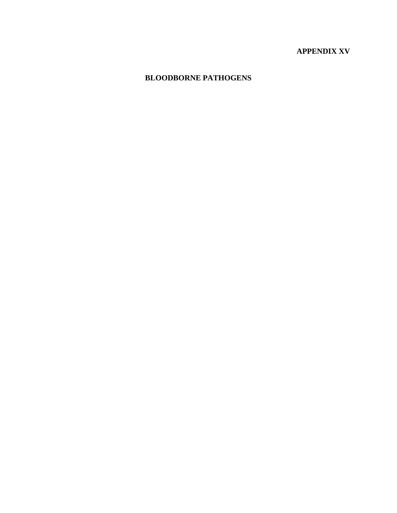# **APPENDIX XV**

# **BLOODBORNE PATHOGENS**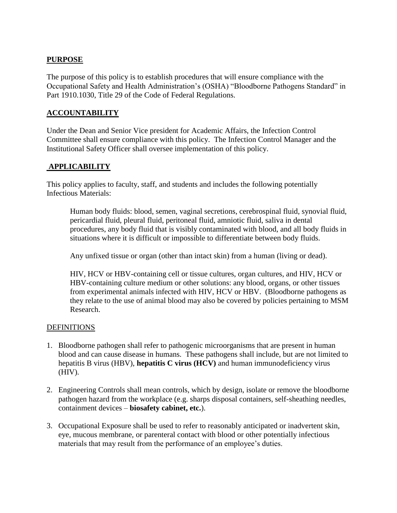# **PURPOSE**

The purpose of this policy is to establish procedures that will ensure compliance with the Occupational Safety and Health Administration"s (OSHA) "Bloodborne Pathogens Standard" in Part 1910.1030, Title 29 of the Code of Federal Regulations.

### **ACCOUNTABILITY**

Under the Dean and Senior Vice president for Academic Affairs, the Infection Control Committee shall ensure compliance with this policy. The Infection Control Manager and the Institutional Safety Officer shall oversee implementation of this policy.

#### **APPLICABILITY**

This policy applies to faculty, staff, and students and includes the following potentially Infectious Materials:

Human body fluids: blood, semen, vaginal secretions, cerebrospinal fluid, synovial fluid, pericardial fluid, pleural fluid, peritoneal fluid, amniotic fluid, saliva in dental procedures, any body fluid that is visibly contaminated with blood, and all body fluids in situations where it is difficult or impossible to differentiate between body fluids.

Any unfixed tissue or organ (other than intact skin) from a human (living or dead).

HIV, HCV or HBV-containing cell or tissue cultures, organ cultures, and HIV, HCV or HBV-containing culture medium or other solutions: any blood, organs, or other tissues from experimental animals infected with HIV, HCV or HBV. (Bloodborne pathogens as they relate to the use of animal blood may also be covered by policies pertaining to MSM Research.

#### DEFINITIONS

- 1. Bloodborne pathogen shall refer to pathogenic microorganisms that are present in human blood and can cause disease in humans. These pathogens shall include, but are not limited to hepatitis B virus (HBV), **hepatitis C virus (HCV)** and human immunodeficiency virus (HIV).
- 2. Engineering Controls shall mean controls, which by design, isolate or remove the bloodborne pathogen hazard from the workplace (e.g. sharps disposal containers, self-sheathing needles, containment devices – **biosafety cabinet, etc.**).
- 3. Occupational Exposure shall be used to refer to reasonably anticipated or inadvertent skin, eye, mucous membrane, or parenteral contact with blood or other potentially infectious materials that may result from the performance of an employee's duties.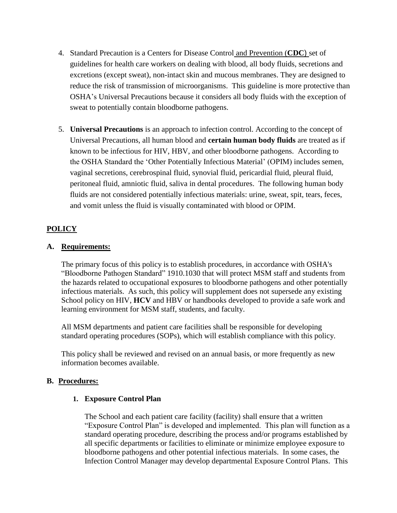- 4. Standard Precaution is a Centers for Disease Control and Prevention (**CDC**) [set](http://www.medical-glossary.com/definition/set.html) of guidelines for [health](http://www.medical-glossary.com/definition/health.html) care workers on dealing with [blood,](http://www.medical-glossary.com/definition/blood.html) all [body fluids,](http://www.medical-glossary.com/definition/body-fluid.html) [secretions](http://www.medical-glossary.com/definition/secretion.html) and [excretions](http://www.medical-glossary.com/definition/excretion.html) (except [sweat\)](http://www.medical-glossary.com/definition/sweat.html), non-intact [skin](http://www.medical-glossary.com/definition/skin.html) and [mucous membranes.](http://www.medical-glossary.com/definition/mucous-membrane.html) They are designed to [reduce](http://www.medical-glossary.com/definition/reduce.html) the [risk](http://www.medical-glossary.com/definition/risk.html) of transmission of [microorganisms.](http://www.medical-glossary.com/definition/microorganism.html) This guideline is more protective than OSHA"s Universal Precautions because it considers all body fluids with the exception of sweat to potentially contain bloodborne pathogens.
- 5. **Universal Precautions** is an approach to infection control. According to the concept of Universal Precautions, all human blood and **certain human body fluids** are treated as if known to be infectious for HIV, HBV, and other bloodborne pathogens. According to the OSHA Standard the "Other Potentially Infectious Material" (OPIM) includes semen, vaginal secretions, cerebrospinal fluid, synovial fluid, pericardial fluid, pleural fluid, peritoneal fluid, amniotic fluid, saliva in dental procedures. The following human body fluids are not considered potentially infectious materials: urine, sweat, spit, tears, feces, and vomit unless the fluid is visually contaminated with blood or OPIM.

# **POLICY**

#### **A. Requirements:**

The primary focus of this policy is to establish procedures, in accordance with OSHA's "Bloodborne Pathogen Standard" 1910.1030 that will protect MSM staff and students from the hazards related to occupational exposures to bloodborne pathogens and other potentially infectious materials. As such, this policy will supplement does not supersede any existing School policy on HIV, **HCV** and HBV or handbooks developed to provide a safe work and learning environment for MSM staff, students, and faculty.

All MSM departments and patient care facilities shall be responsible for developing standard operating procedures (SOPs), which will establish compliance with this policy.

This policy shall be reviewed and revised on an annual basis, or more frequently as new information becomes available.

#### **B. Procedures:**

#### **1. Exposure Control Plan**

The School and each patient care facility (facility) shall ensure that a written "Exposure Control Plan" is developed and implemented. This plan will function as a standard operating procedure, describing the process and/or programs established by all specific departments or facilities to eliminate or minimize employee exposure to bloodborne pathogens and other potential infectious materials. In some cases, the Infection Control Manager may develop departmental Exposure Control Plans. This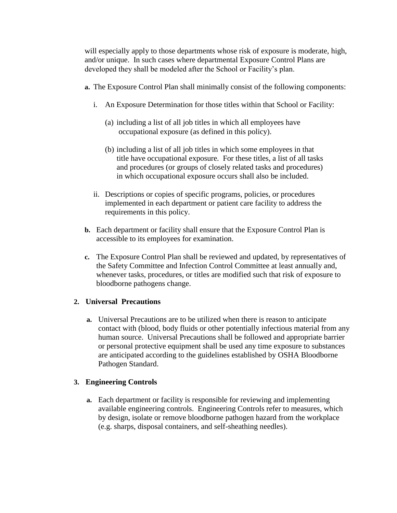will especially apply to those departments whose risk of exposure is moderate, high, and/or unique. In such cases where departmental Exposure Control Plans are developed they shall be modeled after the School or Facility's plan.

- **a.** The Exposure Control Plan shall minimally consist of the following components:
	- i. An Exposure Determination for those titles within that School or Facility:
		- (a) including a list of all job titles in which all employees have occupational exposure (as defined in this policy).
		- (b) including a list of all job titles in which some employees in that title have occupational exposure. For these titles, a list of all tasks and procedures (or groups of closely related tasks and procedures) in which occupational exposure occurs shall also be included.
	- ii. Descriptions or copies of specific programs, policies, or procedures implemented in each department or patient care facility to address the requirements in this policy.
- **b.** Each department or facility shall ensure that the Exposure Control Plan is accessible to its employees for examination.
- **c.** The Exposure Control Plan shall be reviewed and updated, by representatives of the Safety Committee and Infection Control Committee at least annually and, whenever tasks, procedures, or titles are modified such that risk of exposure to bloodborne pathogens change.

# **2. Universal Precautions**

**a.** Universal Precautions are to be utilized when there is reason to anticipate contact with (blood, body fluids or other potentially infectious material from any human source. Universal Precautions shall be followed and appropriate barrier or personal protective equipment shall be used any time exposure to substances are anticipated according to the guidelines established by OSHA Bloodborne Pathogen Standard.

# **3. Engineering Controls**

**a.** Each department or facility is responsible for reviewing and implementing available engineering controls. Engineering Controls refer to measures, which by design, isolate or remove bloodborne pathogen hazard from the workplace (e.g. sharps, disposal containers, and self-sheathing needles).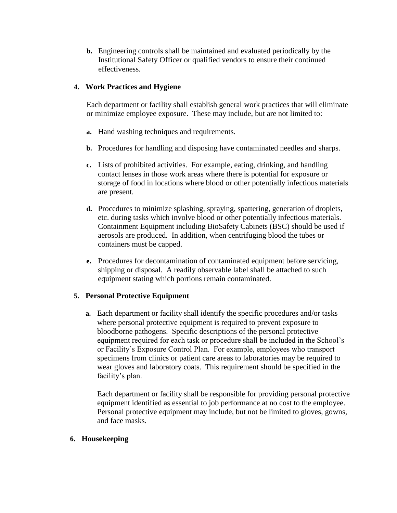**b.** Engineering controls shall be maintained and evaluated periodically by the Institutional Safety Officer or qualified vendors to ensure their continued effectiveness.

# **4. Work Practices and Hygiene**

Each department or facility shall establish general work practices that will eliminate or minimize employee exposure. These may include, but are not limited to:

- **a.** Hand washing techniques and requirements.
- **b.** Procedures for handling and disposing have contaminated needles and sharps.
- **c.** Lists of prohibited activities. For example, eating, drinking, and handling contact lenses in those work areas where there is potential for exposure or storage of food in locations where blood or other potentially infectious materials are present.
- **d.** Procedures to minimize splashing, spraying, spattering, generation of droplets, etc. during tasks which involve blood or other potentially infectious materials. Containment Equipment including BioSafety Cabinets (BSC) should be used if aerosols are produced. In addition, when centrifuging blood the tubes or containers must be capped.
- **e.** Procedures for decontamination of contaminated equipment before servicing, shipping or disposal. A readily observable label shall be attached to such equipment stating which portions remain contaminated.

# **5. Personal Protective Equipment**

**a.** Each department or facility shall identify the specific procedures and/or tasks where personal protective equipment is required to prevent exposure to bloodborne pathogens. Specific descriptions of the personal protective equipment required for each task or procedure shall be included in the School"s or Facility"s Exposure Control Plan. For example, employees who transport specimens from clinics or patient care areas to laboratories may be required to wear gloves and laboratory coats. This requirement should be specified in the facility's plan.

Each department or facility shall be responsible for providing personal protective equipment identified as essential to job performance at no cost to the employee. Personal protective equipment may include, but not be limited to gloves, gowns, and face masks.

#### **6. Housekeeping**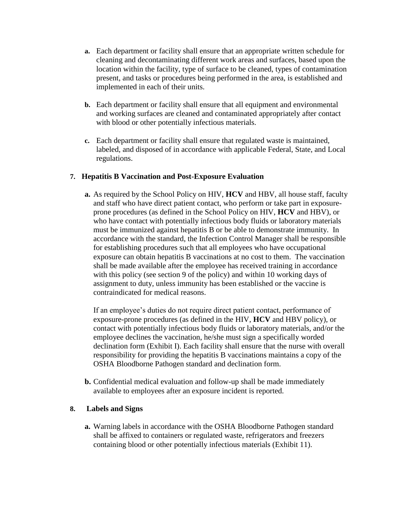- **a.** Each department or facility shall ensure that an appropriate written schedule for cleaning and decontaminating different work areas and surfaces, based upon the location within the facility, type of surface to be cleaned, types of contamination present, and tasks or procedures being performed in the area, is established and implemented in each of their units.
- **b.** Each department or facility shall ensure that all equipment and environmental and working surfaces are cleaned and contaminated appropriately after contact with blood or other potentially infectious materials.
- **c.** Each department or facility shall ensure that regulated waste is maintained, labeled, and disposed of in accordance with applicable Federal, State, and Local regulations.

# **7. Hepatitis B Vaccination and Post-Exposure Evaluation**

**a.** As required by the School Policy on HIV, **HCV** and HBV, all house staff, faculty and staff who have direct patient contact, who perform or take part in exposureprone procedures (as defined in the School Policy on HIV, **HCV** and HBV), or who have contact with potentially infectious body fluids or laboratory materials must be immunized against hepatitis B or be able to demonstrate immunity. In accordance with the standard, the Infection Control Manager shall be responsible for establishing procedures such that all employees who have occupational exposure can obtain hepatitis B vaccinations at no cost to them. The vaccination shall be made available after the employee has received training in accordance with this policy (see section 9 of the policy) and within 10 working days of assignment to duty, unless immunity has been established or the vaccine is contraindicated for medical reasons.

If an employee"s duties do not require direct patient contact, performance of exposure-prone procedures (as defined in the HIV, **HCV** and HBV policy), or contact with potentially infectious body fluids or laboratory materials, and/or the employee declines the vaccination, he/she must sign a specifically worded declination form (Exhibit I). Each facility shall ensure that the nurse with overall responsibility for providing the hepatitis B vaccinations maintains a copy of the OSHA Bloodborne Pathogen standard and declination form.

**b.** Confidential medical evaluation and follow-up shall be made immediately available to employees after an exposure incident is reported.

# **8. Labels and Signs**

**a.** Warning labels in accordance with the OSHA Bloodborne Pathogen standard shall be affixed to containers or regulated waste, refrigerators and freezers containing blood or other potentially infectious materials (Exhibit 11).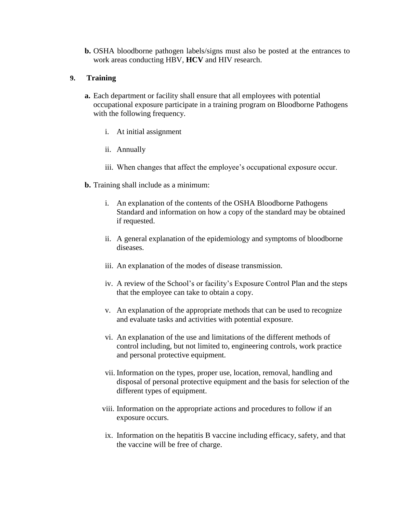**b.** OSHA bloodborne pathogen labels/signs must also be posted at the entrances to work areas conducting HBV, **HCV** and HIV research.

#### **9. Training**

- **a.** Each department or facility shall ensure that all employees with potential occupational exposure participate in a training program on Bloodborne Pathogens with the following frequency.
	- i. At initial assignment
	- ii. Annually
	- iii. When changes that affect the employee's occupational exposure occur.
- **b.** Training shall include as a minimum:
	- i. An explanation of the contents of the OSHA Bloodborne Pathogens Standard and information on how a copy of the standard may be obtained if requested.
	- ii. A general explanation of the epidemiology and symptoms of bloodborne diseases.
	- iii. An explanation of the modes of disease transmission.
	- iv. A review of the School"s or facility"s Exposure Control Plan and the steps that the employee can take to obtain a copy.
	- v. An explanation of the appropriate methods that can be used to recognize and evaluate tasks and activities with potential exposure.
	- vi. An explanation of the use and limitations of the different methods of control including, but not limited to, engineering controls, work practice and personal protective equipment.
	- vii. Information on the types, proper use, location, removal, handling and disposal of personal protective equipment and the basis for selection of the different types of equipment.
	- viii. Information on the appropriate actions and procedures to follow if an exposure occurs.
	- ix. Information on the hepatitis B vaccine including efficacy, safety, and that the vaccine will be free of charge.